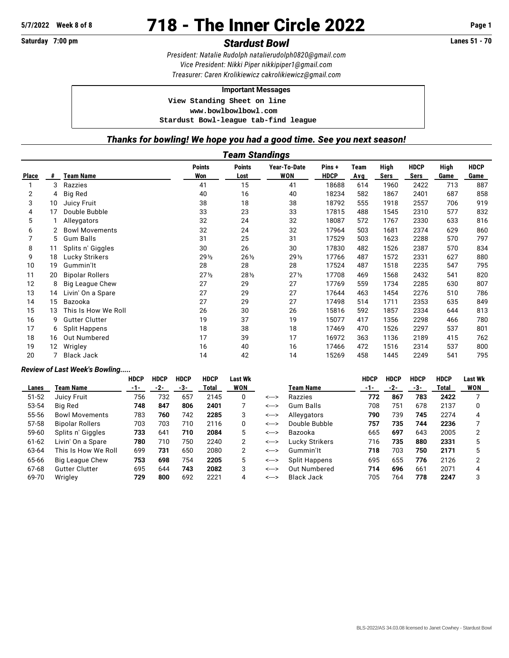# **5/7/2022 Week 8 of 8** 718 - The Inner Circle 2022 **Page 1**

# **Saturday 7:00 pm** *Stardust Bowl* **Lanes 51 - 70**

*President: Natalie Rudolph [natalierudolph0820@gmail.com](mailto:natalierudolph0820@gmail.com) Vice President: Nikki Piper [nikkipiper1@gmail.com](mailto:nikkipiper1@gmail.com) Treasurer: Caren Krolikiewicz [cakrolikiewicz@gmail.com](mailto:cakrolikiewicz@gmail.com)*

#### **Important Messages**

 **View Standing Sheet on line <www.bowlbowlbowl.com>**

 **Stardust Bowl-league tab-find league**

## *Thanks for bowling! We hope you had a good time. See you next season!*

|              | Team Standings |                        |                      |                       |                            |                      |                    |              |                     |              |                     |  |  |  |
|--------------|----------------|------------------------|----------------------|-----------------------|----------------------------|----------------------|--------------------|--------------|---------------------|--------------|---------------------|--|--|--|
| <b>Place</b> | #              | <b>Team Name</b>       | <b>Points</b><br>Won | <b>Points</b><br>Lost | Year-To-Date<br><b>WON</b> | Pins+<br><b>HDCP</b> | Team<br><b>Avg</b> | High<br>Sers | <b>HDCP</b><br>Sers | High<br>Game | <b>HDCP</b><br>Game |  |  |  |
|              | 3              | Razzies                | 41                   | 15                    | 41                         | 18688                | 614                | 1960         | 2422                | 713          | 887                 |  |  |  |
| 2            | 4              | <b>Big Red</b>         | 40                   | 16                    | 40                         | 18234                | 582                | 1867         | 2401                | 687          | 858                 |  |  |  |
| 3            | 10             | <b>Juicy Fruit</b>     | 38                   | 18                    | 38                         | 18792                | 555                | 1918         | 2557                | 706          | 919                 |  |  |  |
| 4            | 17             | Double Bubble          | 33                   | 23                    | 33                         | 17815                | 488                | 1545         | 2310                | 577          | 832                 |  |  |  |
| 5            |                | Alleygators            | 32                   | 24                    | 32                         | 18087                | 572                | 1767         | 2330                | 633          | 816                 |  |  |  |
| 6            |                | <b>Bowl Movements</b>  | 32                   | 24                    | 32                         | 17964                | 503                | 1681         | 2374                | 629          | 860                 |  |  |  |
| 7            | 5              | <b>Gum Balls</b>       | 31                   | 25                    | 31                         | 17529                | 503                | 1623         | 2288                | 570          | 797                 |  |  |  |
| 8            | 11             | Splits n' Giggles      | 30                   | 26                    | 30                         | 17830                | 482                | 1526         | 2387                | 570          | 834                 |  |  |  |
| 9            | 18             | Lucky Strikers         | 29 1/2               | $26\frac{1}{2}$       | 29 1/2                     | 17766                | 487                | 1572         | 2331                | 627          | 880                 |  |  |  |
| 10           | 19             | Gummin'lt              | 28                   | 28                    | 28                         | 17524                | 487                | 1518         | 2235                | 547          | 795                 |  |  |  |
| 11           | 20             | <b>Bipolar Rollers</b> | $27\frac{1}{2}$      | $28\frac{1}{2}$       | 27 <sub>2</sub>            | 17708                | 469                | 1568         | 2432                | 541          | 820                 |  |  |  |
| 12           | 8              | <b>Big League Chew</b> | 27                   | 29                    | 27                         | 17769                | 559                | 1734         | 2285                | 630          | 807                 |  |  |  |
| 13           | 14             | Livin' On a Spare      | 27                   | 29                    | 27                         | 17644                | 463                | 1454         | 2276                | 510          | 786                 |  |  |  |
| 14           | 15             | Bazooka                | 27                   | 29                    | 27                         | 17498                | 514                | 1711         | 2353                | 635          | 849                 |  |  |  |
| 15           | 13             | This Is How We Roll    | 26                   | 30                    | 26                         | 15816                | 592                | 1857         | 2334                | 644          | 813                 |  |  |  |
| 16           | 9              | <b>Gutter Clutter</b>  | 19                   | 37                    | 19                         | 15077                | 417                | 1356         | 2298                | 466          | 780                 |  |  |  |
| 17           | 6              | <b>Split Happens</b>   | 18                   | 38                    | 18                         | 17469                | 470                | 1526         | 2297                | 537          | 801                 |  |  |  |
| 18           | 16             | Out Numbered           | 17                   | 39                    | 17                         | 16972                | 363                | 1136         | 2189                | 415          | 762                 |  |  |  |
| 19           | 12             | Wrigley                | 16                   | 40                    | 16                         | 17466                | 472                | 1516         | 2314                | 537          | 800                 |  |  |  |
| 20           |                | <b>Black Jack</b>      | 14                   | 42                    | 14                         | 15269                | 458                | 1445         | 2249                | 541          | 795                 |  |  |  |

### *Review of Last Week's Bowling.....*

|       |                        | <b>HDCP</b> | <b>HDCP</b> | <b>HDCP</b> | <b>HDCP</b> | Last Wk |       |                     | <b>HDCP</b> | <b>HDCP</b> | <b>HDCP</b> | <b>HDCP</b> | <b>Last Wk</b> |
|-------|------------------------|-------------|-------------|-------------|-------------|---------|-------|---------------------|-------------|-------------|-------------|-------------|----------------|
| Lanes | Team Name              | -1-         | -2-         | -3-         | Total       | WON     |       | Team Name           | $-1-$       | -2-         | -3-         | Total       | <b>WON</b>     |
| 51-52 | Juicy Fruit            | 756         | 732         | 657         | 2145        | 0       | <---> | Razzies             | 772         | 867         | 783         | 2422        |                |
| 53-54 | Big Red                | 748         | 847         | 806         | 2401        |         | <---> | Gum Balls           | 708         | 751         | 678         | 2137        |                |
| 55-56 | <b>Bowl Movements</b>  | 783         | 760         | 742         | 2285        | 3       | <---> | Alleygators         | 790         | 739         | 745         | 2274        | 4              |
| 57-58 | <b>Bipolar Rollers</b> | 703         | 703         | 710         | 2116        | 0       | <---> | Double Bubble       | 757         | 735         | 744         | 2236        |                |
| 59-60 | Splits n' Giggles      | 733         | 641         | 710         | 2084        | 5       | <---> | Bazooka             | 665         | 697         | 643         | 2005        |                |
| 61-62 | Livin' On a Spare      | 780         | 710         | 750         | 2240        | 2       | <---> | Lucky Strikers      | 716         | 735         | 880         | 2331        |                |
| 63-64 | This Is How We Roll    | 699         | 731         | 650         | 2080        | 2       | <---> | Gummin'lt           | 718         | 703         | 750         | 2171        | 5              |
| 65-66 | Big League Chew        | 753         | 698         | 754         | 2205        | 5       | <---> | Split Happens       | 695         | 655         | 776         | 2126        | ◠              |
| 67-68 | <b>Gutter Clutter</b>  | 695         | 644         | 743         | 2082        | 3       | <---> | <b>Out Numbered</b> | 714         | 696         | 661         | 2071        |                |
| 69-70 | Wrigley                | 729         | 800         | 692         | 2221        | 4       | <---> | <b>Black Jack</b>   | 705         | 764         | 778         | 2247        | 3              |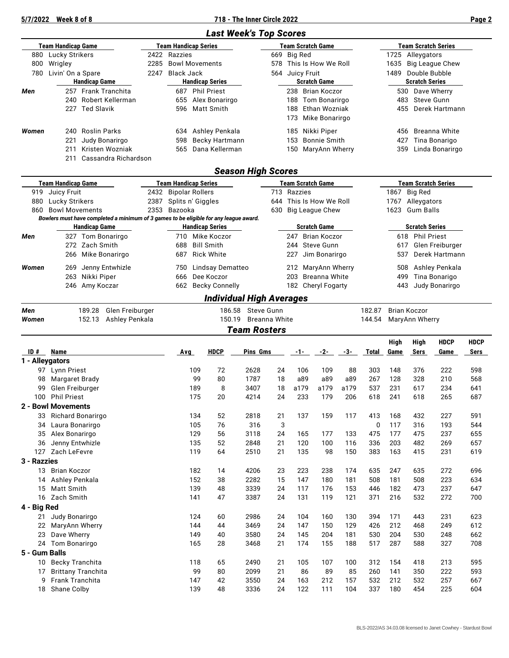**5/7/2022 Week 8 of 8 718 - The Inner Circle 2022 Page 2**

# *Last Week's Top Scores*

|       | Team Handicap Game |                      |      |              | Team Handicap Series   |             | <b>Team Scratch Game</b> |      | Team Scratch Series   |
|-------|--------------------|----------------------|------|--------------|------------------------|-------------|--------------------------|------|-----------------------|
| 880   | Lucky Strikers     |                      |      | 2422 Razzies |                        | 669 Big Red |                          |      | 1725 Alleygators      |
| 800   | Wrigley            |                      | 2285 |              | <b>Bowl Movements</b>  |             | 578 This Is How We Roll  |      | 1635 Big League Chew  |
| 780   | Livin' On a Spare  |                      | 2247 | Black Jack   |                        | 564         | Juicy Fruit              | 1489 | Double Bubble         |
|       |                    | <b>Handicap Game</b> |      |              | <b>Handicap Series</b> |             | <b>Scratch Game</b>      |      | <b>Scratch Series</b> |
| Men   |                    | 257 Frank Tranchita  |      | 687          | <b>Phil Priest</b>     | 238         | Brian Koczor             |      | 530 Dave Wherry       |
|       |                    | 240 Robert Kellerman |      | 655          | Alex Bonarirgo         | 188         | Tom Bonarirgo            |      | 483 Steve Gunn        |
|       |                    | 227 Ted Slavik       |      | 596          | Matt Smith             | 188         | Ethan Wozniak            |      | 455 Derek Hartmann    |
|       |                    |                      |      |              |                        | 173         | Mike Bonarirgo           |      |                       |
| Women |                    | 240 Roslin Parks     |      | 634          | Ashley Penkala         | 185         | Nikki Piper              |      | 456 Breanna White     |
|       | 221                | Judy Bonarirgo       |      | 598          | Becky Hartmann         | 153         | Bonnie Smith             | 427  | Tina Bonarigo         |
|       | 211                | Kristen Wozniak      |      | 565          | Dana Kellerman         | 150         | MaryAnn Wherry           | 359  | Linda Bonarirgo       |
|       | 211                | Cassandra Richardson |      |              |                        |             |                          |      |                       |

# *Season High Scores*

| Team Handicap Game |                       |                      |                              | <b>Team Handicap Series</b> |                                                                                       |                         | <b>Team Scratch Game</b> | <b>Team Scratch Series</b> |                       |                 |  |  |
|--------------------|-----------------------|----------------------|------------------------------|-----------------------------|---------------------------------------------------------------------------------------|-------------------------|--------------------------|----------------------------|-----------------------|-----------------|--|--|
| 919                | Juicy Fruit           |                      |                              | 2432 Bipolar Rollers        |                                                                                       | 713 Razzies             |                          | 1867                       | Big Red               |                 |  |  |
| 880                | Lucky Strikers        |                      | 2387                         | Splits n' Giggles           |                                                                                       | 644 This Is How We Roll |                          | 1767                       | Alleygators           |                 |  |  |
| 860                | <b>Bowl Movements</b> |                      | 2353                         | Bazooka                     |                                                                                       |                         | 630 Big League Chew      | 1623                       | Gum Balls             |                 |  |  |
|                    |                       |                      |                              |                             | Bowlers must have completed a minimum of 3 games to be eligible for any league award. |                         |                          |                            |                       |                 |  |  |
|                    |                       | <b>Handicap Game</b> |                              | <b>Handicap Series</b>      |                                                                                       |                         |                          | <b>Scratch Game</b>        | <b>Scratch Series</b> |                 |  |  |
| Men                |                       | 327 Tom Bonarirgo    |                              | 710                         | Mike Koczor                                                                           |                         | 247                      | Brian Koczor               |                       | 618 Phil Priest |  |  |
|                    |                       | 272 Zach Smith       |                              | 688                         | <b>Bill Smith</b>                                                                     |                         |                          | 244 Steve Gunn             | 617                   | Glen Freiburger |  |  |
|                    |                       | 266 Mike Bonarirgo   |                              | 687                         | Rick White                                                                            |                         | 227                      | Jim Bonarirgo              | 537                   | Derek Hartmann  |  |  |
| Women              | 269                   | Jenny Entwhizle      |                              | 750                         | Lindsay Dematteo                                                                      |                         |                          | 212 MaryAnn Wherry         | 508                   | Ashley Penkala  |  |  |
|                    |                       | 263 Nikki Piper      |                              | 666                         | Dee Koczor                                                                            |                         |                          | 203 Breanna White          | 499                   | Tina Bonarigo   |  |  |
|                    |                       | 246 Amy Koczar       | <b>Becky Connelly</b><br>662 |                             |                                                                                       |                         |                          | 182 Cheryl Fogarty         | 443                   | Judy Bonarirgo  |  |  |
|                    |                       |                      |                              |                             | <b>Individual High Averages</b>                                                       |                         |                          |                            |                       |                 |  |  |

|       |                                                 | <b>Team Rosters</b>  |                       |
|-------|-------------------------------------------------|----------------------|-----------------------|
| Women | 189.28 Glen Freiburger<br>152.13 Ashley Penkala | 150.19 Breanna White | 144.54 MaryAnn Wherry |
| Men   |                                                 | 186.58 Steve Gunn    | 182.87 Brian Koczor   |

|                 |                           |     |             |          |    |       |       |       |              | <b>High</b> | <b>High</b> | <b>HDCP</b> | <b>HDCP</b> |
|-----------------|---------------------------|-----|-------------|----------|----|-------|-------|-------|--------------|-------------|-------------|-------------|-------------|
| ID#             | Name                      | Avg | <b>HDCP</b> | Pins Gms |    | $-1-$ | $-2-$ | $-3-$ | <b>Total</b> | Game        | Sers        | Game        | Sers        |
| 1 - Alleygators |                           |     |             |          |    |       |       |       |              |             |             |             |             |
| 97              | <b>Lynn Priest</b>        | 109 | 72          | 2628     | 24 | 106   | 109   | 88    | 303          | 148         | 376         | 222         | 598         |
| 98              | <b>Margaret Brady</b>     | 99  | 80          | 1787     | 18 | a89   | a89   | a89   | 267          | 128         | 328         | 210         | 568         |
| 99              | Glen Freiburger           | 189 | 8           | 3407     | 18 | a179  | a179  | a179  | 537          | 231         | 617         | 234         | 641         |
| 100             | <b>Phil Priest</b>        | 175 | 20          | 4214     | 24 | 233   | 179   | 206   | 618          | 241         | 618         | 265         | 687         |
|                 | 2 - Bowl Movements        |     |             |          |    |       |       |       |              |             |             |             |             |
| 33              | Richard Bonarirgo         | 134 | 52          | 2818     | 21 | 137   | 159   | 117   | 413          | 168         | 432         | 227         | 591         |
| 34              | Laura Bonarirgo           | 105 | 76          | 316      | 3  |       |       |       | 0            | 117         | 316         | 193         | 544         |
| 35              | Alex Bonarirgo            | 129 | 56          | 3118     | 24 | 165   | 177   | 133   | 475          | 177         | 475         | 237         | 655         |
| 36              | Jenny Entwhizle           | 135 | 52          | 2848     | 21 | 120   | 100   | 116   | 336          | 203         | 482         | 269         | 657         |
| 127             | Zach LeFevre              | 119 | 64          | 2510     | 21 | 135   | 98    | 150   | 383          | 163         | 415         | 231         | 619         |
| 3 - Razzies     |                           |     |             |          |    |       |       |       |              |             |             |             |             |
| 13              | <b>Brian Koczor</b>       | 182 | 14          | 4206     | 23 | 223   | 238   | 174   | 635          | 247         | 635         | 272         | 696         |
| 14              | Ashley Penkala            | 152 | 38          | 2282     | 15 | 147   | 180   | 181   | 508          | 181         | 508         | 223         | 634         |
| 15              | Matt Smith                | 139 | 48          | 3339     | 24 | 117   | 176   | 153   | 446          | 182         | 473         | 237         | 647         |
| 16              | Zach Smith                | 141 | 47          | 3387     | 24 | 131   | 119   | 121   | 371          | 216         | 532         | 272         | 700         |
| 4 - Big Red     |                           |     |             |          |    |       |       |       |              |             |             |             |             |
| 21              | Judy Bonarirgo            | 124 | 60          | 2986     | 24 | 104   | 160   | 130   | 394          | 171         | 443         | 231         | 623         |
| 22              | MaryAnn Wherry            | 144 | 44          | 3469     | 24 | 147   | 150   | 129   | 426          | 212         | 468         | 249         | 612         |
| 23              | Dave Wherry               | 149 | 40          | 3580     | 24 | 145   | 204   | 181   | 530          | 204         | 530         | 248         | 662         |
| 24              | Tom Bonarirgo             | 165 | 28          | 3468     | 21 | 174   | 155   | 188   | 517          | 287         | 588         | 327         | 708         |
| 5 - Gum Balls   |                           |     |             |          |    |       |       |       |              |             |             |             |             |
| 10              | Becky Tranchita           | 118 | 65          | 2490     | 21 | 105   | 107   | 100   | 312          | 154         | 418         | 213         | 595         |
| 17              | <b>Brittany Tranchita</b> | 99  | 80          | 2099     | 21 | 86    | 89    | 85    | 260          | 141         | 350         | 222         | 593         |
| 9               | <b>Frank Tranchita</b>    | 147 | 42          | 3550     | 24 | 163   | 212   | 157   | 532          | 212         | 532         | 257         | 667         |
| 18              | Shane Colby               | 139 | 48          | 3336     | 24 | 122   | 111   | 104   | 337          | 180         | 454         | 225         | 604         |
|                 |                           |     |             |          |    |       |       |       |              |             |             |             |             |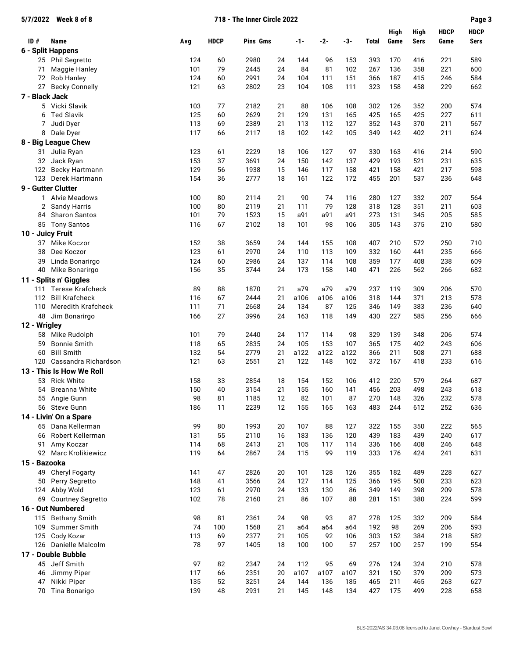| 5/7/2022       | Week 8 of 8                                      |            |             | 718 - The Inner Circle 2022 |          |             |             |             |              |              |                            |                     | Page 3              |
|----------------|--------------------------------------------------|------------|-------------|-----------------------------|----------|-------------|-------------|-------------|--------------|--------------|----------------------------|---------------------|---------------------|
| ID#            | Name                                             | Avg        | <b>HDCP</b> | Pins Gms                    |          | $-1-$       | $-2-$       | -3-         | <b>Total</b> | High<br>Game | <b>High</b><br><b>Sers</b> | <b>HDCP</b><br>Game | <b>HDCP</b><br>Sers |
|                | 6 - Split Happens                                |            |             |                             |          |             |             |             |              |              |                            |                     |                     |
|                | 25 Phil Segretto                                 | 124        | 60          | 2980                        | 24       | 144         | 96          | 153         | 393          | 170          | 416                        | 221                 | 589                 |
| 71             | Maggie Hanley                                    | 101        | 79          | 2445                        | 24       | 84          | 81          | 102         | 267          | 136          | 358                        | 221                 | 600                 |
| 72             | Rob Hanley                                       | 124        | 60          | 2991                        | 24       | 104         | 111         | 151         | 366          | 187          | 415                        | 246                 | 584                 |
| 27             | <b>Becky Connelly</b>                            | 121        | 63          | 2802                        | 23       | 104         | 108         | 111         | 323          | 158          | 458                        | 229                 | 662                 |
| 7 - Black Jack |                                                  |            |             |                             |          |             |             |             |              |              |                            |                     |                     |
|                | 5 Vicki Slavik                                   | 103        | 77          | 2182                        | 21       | 88          | 106         | 108         | 302          | 126          | 352                        | 200                 | 574                 |
| 6              | <b>Ted Slavik</b>                                | 125        | 60          | 2629                        | 21       | 129         | 131         | 165         | 425          | 165          | 425                        | 227                 | 611                 |
| 7              | Judi Dyer                                        | 113        | 69          | 2389                        | 21       | 113         | 112         | 127         | 352          | 143          | 370                        | 211                 | 567                 |
| 8              | Dale Dyer                                        | 117        | 66          | 2117                        | 18       | 102         | 142         | 105         | 349          | 142          | 402                        | 211                 | 624                 |
|                | 8 - Big League Chew                              |            |             |                             |          |             |             |             |              |              |                            |                     |                     |
| 31             | Julia Ryan                                       | 123        | 61          | 2229                        | 18       | 106         | 127         | 97          | 330          | 163          | 416                        | 214                 | 590                 |
| 32             | Jack Ryan                                        | 153        | 37          | 3691                        | 24       | 150         | 142         | 137         | 429          | 193          | 521                        | 231                 | 635                 |
| 122            | <b>Becky Hartmann</b>                            | 129        | 56          | 1938                        | 15       | 146         | 117         | 158         | 421          | 158          | 421                        | 217                 | 598                 |
| 123            | Derek Hartmann                                   | 154        | 36          | 2777                        | 18       | 161         | 122         | 172         | 455          | 201          | 537                        | 236                 | 648                 |
|                | 9 - Gutter Clutter                               |            |             |                             |          |             |             |             |              |              |                            |                     |                     |
| 1              | <b>Alvie Meadows</b>                             | 100        | 80          | 2114                        | 21       | 90          | 74          | 116         | 280          | 127          | 332                        | 207                 | 564                 |
| 2              | Sandy Harris                                     | 100        | 80          | 2119                        | 21       | 111         | 79          | 128         | 318          | 128          | 351                        | 211                 | 603                 |
| 84             | <b>Sharon Santos</b>                             | 101        | 79          | 1523                        | 15       | a91         | a91         | a91         | 273          | 131          | 345                        | 205                 | 585                 |
|                | 85 Tony Santos                                   | 116        | 67          | 2102                        | 18       | 101         | 98          | 106         | 305          | 143          | 375                        | 210                 | 580                 |
|                | 10 - Juicy Fruit                                 |            |             |                             |          |             |             |             |              |              |                            |                     |                     |
| 37             | Mike Koczor                                      | 152        | 38          | 3659                        | 24       | 144         | 155         | 108         | 407          | 210          | 572                        | 250                 | 710                 |
| 38             | Dee Koczor                                       | 123        | 61          | 2970                        | 24       | 110         | 113         | 109         | 332          | 160          | 441                        | 235                 | 666                 |
| 39             | Linda Bonarirgo                                  | 124        | 60          | 2986                        | 24       | 137         | 114         | 108         | 359          | 177          | 408                        | 238                 | 609                 |
|                | 40 Mike Bonarirgo                                | 156        | 35          | 3744                        | 24       | 173         | 158         | 140         | 471          | 226          | 562                        | 266                 | 682                 |
|                |                                                  |            |             |                             |          |             |             |             |              |              |                            |                     |                     |
|                | 11 - Splits n' Giggles                           |            |             |                             |          |             |             |             |              |              |                            |                     |                     |
| 111<br>112     | <b>Terese Krafcheck</b><br><b>Bill Krafcheck</b> | 89<br>116  | 88<br>67    | 1870<br>2444                | 21<br>21 | a79<br>a106 | a79<br>a106 | a79<br>a106 | 237<br>318   | 119<br>144   | 309<br>371                 | 206<br>213          | 570<br>578          |
| 110            | <b>Meredith Krafcheck</b>                        | 111        | 71          | 2668                        | 24       | 134         | 87          | 125         | 346          | 149          | 383                        | 236                 | 640                 |
| 48             | Jim Bonarirgo                                    | 166        | 27          | 3996                        | 24       | 163         | 118         | 149         | 430          | 227          | 585                        | 256                 | 666                 |
|                |                                                  |            |             |                             |          |             |             |             |              |              |                            |                     |                     |
| 12 - Wrigley   |                                                  |            |             |                             |          |             |             |             |              |              |                            |                     |                     |
| 58             | Mike Rudolph                                     | 101        | 79          | 2440                        | 24       | 117         | 114         | 98          | 329          | 139          | 348                        | 206                 | 574                 |
| 59             | <b>Bonnie Smith</b>                              | 118        | 65          | 2835                        | 24       | 105         | 153         | 107         | 365          | 175          | 402                        | 243                 | 606                 |
| 60             | <b>Bill Smith</b><br>Cassandra Richardson        | 132<br>121 | 54<br>63    | 2779<br>2551                | 21<br>21 | a122<br>122 | a122<br>148 | a122<br>102 | 366<br>372   | 211<br>167   | 508<br>418                 | 271<br>233          | 688<br>616          |
| 120            |                                                  |            |             |                             |          |             |             |             |              |              |                            |                     |                     |
|                | 13 - This Is How We Roll                         |            |             |                             |          |             |             |             |              |              |                            |                     |                     |
|                | 53 Rick White                                    | 158        | 33          | 2854                        | 18       | 154         | 152         | 106         | 412          | 220          | 579                        | 264                 | 687                 |
| 54             | Breanna White                                    | 150<br>98  | 40<br>81    | 3154                        | 21       | 155         | 160         | 141         | 456          | 203          | 498                        | 243                 | 618                 |
| 55             | Angie Gunn<br>56 Steve Gunn                      |            |             | 1185                        | 12       | 82          | 101         | 87          | 270          | 148          | 326                        | 232                 | 578                 |
|                |                                                  | 186        | 11          | 2239                        | 12       | 155         | 165         | 163         | 483          | 244          | 612                        | 252                 | 636                 |
|                | 14 - Livin' On a Spare                           |            |             |                             |          |             |             |             |              |              |                            |                     |                     |
| 65             | Dana Kellerman                                   | 99         | 80          | 1993                        | 20       | 107         | 88          | 127         | 322          | 155          | 350                        | 222                 | 565                 |
| 66             | Robert Kellerman                                 | 131        | 55          | 2110                        | 16       | 183         | 136         | 120         | 439          | 183          | 439                        | 240                 | 617                 |
| 91             | Amy Koczar                                       | 114        | 68          | 2413                        | 21       | 105         | 117         | 114         | 336          | 166          | 408                        | 246                 | 648                 |
|                | 92 Marc Krolikiewicz                             | 119        | 64          | 2867                        | 24       | 115         | 99          | 119         | 333          | 176          | 424                        | 241                 | 631                 |
| 15 - Bazooka   |                                                  |            |             |                             |          |             |             |             |              |              |                            |                     |                     |
|                | 49 Cheryl Fogarty                                | 141        | 47          | 2826                        | 20       | 101         | 128         | 126         | 355          | 182          | 489                        | 228                 | 627                 |
| 50             | Perry Segretto                                   | 148        | 41          | 3566                        | 24       | 127         | 114         | 125         | 366          | 195          | 500                        | 233                 | 623                 |
| 124            | Abby Wold                                        | 123        | 61          | 2970                        | 24       | 133         | 130         | 86          | 349          | 149          | 398                        | 209                 | 578                 |
|                | 69 Courtney Segretto                             | 102        | 78          | 2160                        | 21       | 86          | 107         | 88          | 281          | 151          | 380                        | 224                 | 599                 |
|                | 16 - Out Numbered                                |            |             |                             |          |             |             |             |              |              |                            |                     |                     |
| 115            | <b>Bethany Smith</b>                             | 98         | 81          | 2361                        | 24       | 98          | 93          | 87          | 278          | 125          | 332                        | 209                 | 584                 |
| 109            | Summer Smith                                     | 74         | 100         | 1568                        | 21       | a64         | a64         | a64         | 192          | 98           | 269                        | 206                 | 593                 |
| 125            | Cody Kozar                                       | 113        | 69          | 2377                        | 21       | 105         | 92          | 106         | 303          | 152          | 384                        | 218                 | 582                 |
|                | 126 Danielle Malcolm                             | 78         | 97          | 1405                        | 18       | 100         | 100         | 57          | 257          | 100          | 257                        | 199                 | 554                 |
|                | 17 - Double Bubble                               |            |             |                             |          |             |             |             |              |              |                            |                     |                     |
|                | 45 Jeff Smith                                    | 97         | 82          | 2347                        | 24       | 112         | 95          | 69          | 276          | 124          | 324                        | 210                 | 578                 |
| 46             | Jimmy Piper                                      | 117        | 66          | 2351                        | 20       | a107        | a107        | a107        | 321          | 150          | 379                        | 209                 | 573                 |
| 47             | Nikki Piper                                      | 135        | 52          | 3251                        | 24       | 144         | 136         | 185         | 465          | 211          | 465                        | 263                 | 627                 |
|                | 70 Tina Bonarigo                                 | 139        | 48          | 2931                        | 21       | 145         | 148         | 134         | 427          | 175          | 499                        | 228                 | 658                 |